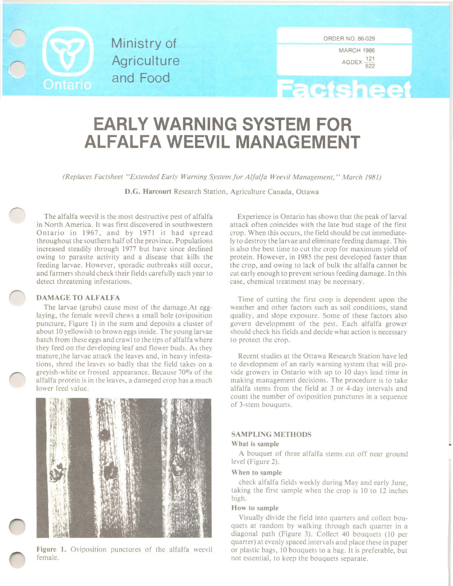

Ministry of **Agriculture** and Food

MARCH 1986  $AGDEX - 622$ 

# **Factsheet**

## **EARLY WARNING SYSTEM FOR ALFALFA WEEVIL MANAGEMENT**

*(Replaces Factsheet "Extended Early Warning System Jor Alfalfa Weevil Management," March 1981)*

D.G. Harcourt Research Station, Agriculture Canada, Ottawa

The alfalfa weevil is the most destructive pest of alfalfa in North America. It was first discovered in southwestern Ontario in 1967, and by 1971 it had spread throughout the southern half of the province. Populations increased steadily through 1977 but have since declined owing to parasite activity and a disease that kills the feeding larvae. However, sporadic outbreaks still occur, and farmers should check their fields carefully each year to detect threatening infestations.

#### DAMAGE TO ALFALFA

The larvae (grubs) cause most of the damage.At egglaying, the female weevil chews a small hole (oviposition puncture, Figure 1) in the stem and deposits a cluster of about 10 yellowish to brown eggs inside. The young larvae hatch from these eggs and crawl to the tips of alfalfa where they feed on the developing leaf and flower buds. As they mature, the larvae attack the leaves and, in heavy infestations, shred the leaves so badly that the field takes on a greyish-white or frosted appearance. Because 70% of the alfalfa protein is in the leaves, a dameged crop has a much lower feed value.



Figure I. Oviposition punctures of the alfalfa weevil female.

Experience in Ontario has shown that the peak of larval attack often coincides with the late bud stage of the first crop. When this occurs, the field should be cut immediately to destroy the larvae and eliminate feeding damage. This is also the best time to cut the crop for maximum yield of protein. However, in 1985 the pest developed faster than the crop, and owing to lack of bulk the alfalfa cannot be cut early enough to prevent serious feeding damage. In this case, chemical treatment may be necessary.

Time of cutting the first crop is dependent upon the weather and other factors such as soil conditions, stand quality, and slope exposure. Some of these factors also govern development of the pest. Each alfalfa grower should check his fields and decide what action is necessary to protect the crop.

Recent studies at the Ottawa Research Station have led to development of an early warning system that will provide growers in Ontario with up to 10 days lead time in making management decisions. The procedure is to take alfalfa stems from the field at 3 or 4-day intervals and count the number of oviposition punctures in a sequence of 3-stem bouquets.

#### SAMPLING METHODS

#### What is sample

A bouquet of three alfalfa stems cut off near ground level (Figure 2).

#### When to sample

check alfalfa fields weekly during May and early June, taking the first sample when the crop is 10 to 12 inches high.

#### How to sample

Visually divide the field into quarters and collect bouquets at random by walking through each quarter in a diagonal path (Figure 3). Collect 40 bouquets (10 per quarter) at evenly spaced intervals and place these in paper or plastic bags, 10 bouquets to a bag. It is preferable, but not essential, to keep the bouquets separate.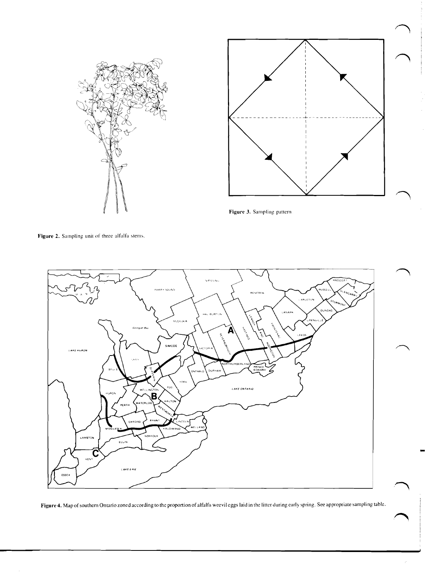



**Figure** 3. Sampling pattern

Figure 2. Sampling unit of three alfalfa stems.



**Figure 4.** Map of southern Ontario zoned according to the proportion of alfalfa weevil eggs laid in the litter during early spring. See appropriate sampling table.